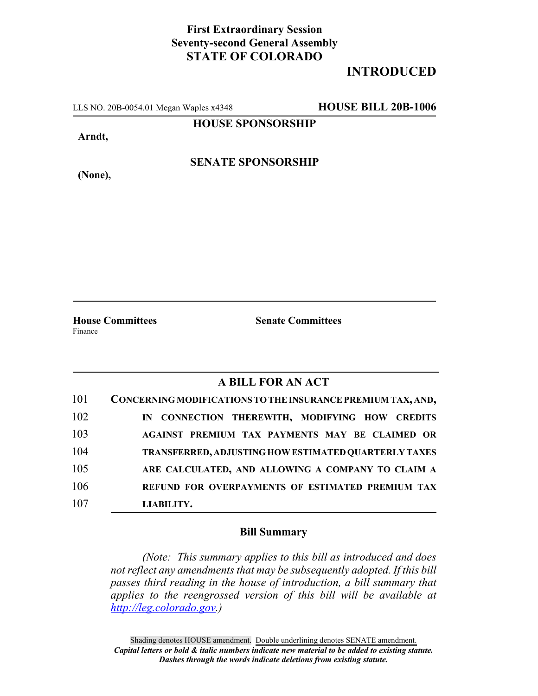## **First Extraordinary Session Seventy-second General Assembly STATE OF COLORADO**

# **INTRODUCED**

LLS NO. 20B-0054.01 Megan Waples x4348 **HOUSE BILL 20B-1006**

**HOUSE SPONSORSHIP**

**Arndt,**

**(None),**

**SENATE SPONSORSHIP**

**House Committees Senate Committees** Finance

## **A BILL FOR AN ACT**

| 101 | CONCERNING MODIFICATIONS TO THE INSURANCE PREMIUM TAX, AND, |
|-----|-------------------------------------------------------------|
| 102 | IN CONNECTION THEREWITH, MODIFYING HOW CREDITS              |
| 103 | AGAINST PREMIUM TAX PAYMENTS MAY BE CLAIMED OR              |
| 104 | <b>TRANSFERRED, ADJUSTING HOW ESTIMATED QUARTERLY TAXES</b> |
| 105 | ARE CALCULATED, AND ALLOWING A COMPANY TO CLAIM A           |
| 106 | REFUND FOR OVERPAYMENTS OF ESTIMATED PREMIUM TAX            |
| 107 | LIABILITY.                                                  |

### **Bill Summary**

*(Note: This summary applies to this bill as introduced and does not reflect any amendments that may be subsequently adopted. If this bill passes third reading in the house of introduction, a bill summary that applies to the reengrossed version of this bill will be available at http://leg.colorado.gov.)*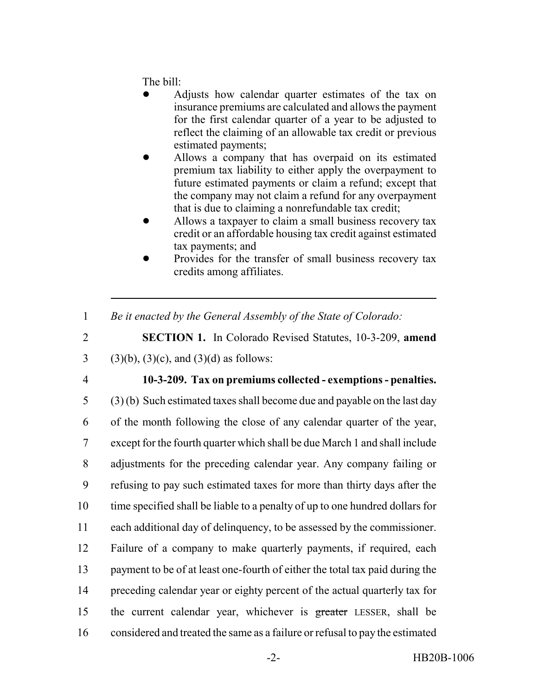The bill:

- ! Adjusts how calendar quarter estimates of the tax on insurance premiums are calculated and allows the payment for the first calendar quarter of a year to be adjusted to reflect the claiming of an allowable tax credit or previous estimated payments;
- ! Allows a company that has overpaid on its estimated premium tax liability to either apply the overpayment to future estimated payments or claim a refund; except that the company may not claim a refund for any overpayment that is due to claiming a nonrefundable tax credit;
- ! Allows a taxpayer to claim a small business recovery tax credit or an affordable housing tax credit against estimated tax payments; and
- Provides for the transfer of small business recovery tax credits among affiliates.
- 1 *Be it enacted by the General Assembly of the State of Colorado:*
- 2 **SECTION 1.** In Colorado Revised Statutes, 10-3-209, **amend** 3 (3)(b), (3)(c), and (3)(d) as follows:
- 

#### 4 **10-3-209. Tax on premiums collected - exemptions - penalties.**

 (3) (b) Such estimated taxes shall become due and payable on the last day of the month following the close of any calendar quarter of the year, except for the fourth quarter which shall be due March 1 and shall include adjustments for the preceding calendar year. Any company failing or refusing to pay such estimated taxes for more than thirty days after the time specified shall be liable to a penalty of up to one hundred dollars for each additional day of delinquency, to be assessed by the commissioner. Failure of a company to make quarterly payments, if required, each payment to be of at least one-fourth of either the total tax paid during the preceding calendar year or eighty percent of the actual quarterly tax for 15 the current calendar year, whichever is greater LESSER, shall be considered and treated the same as a failure or refusal to pay the estimated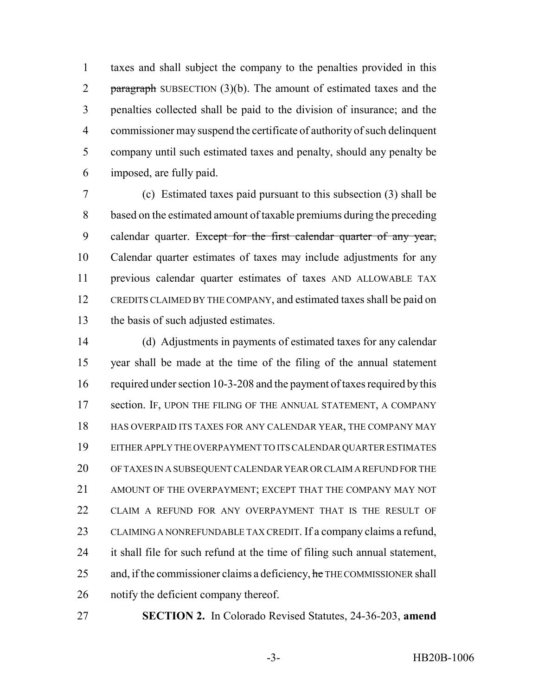taxes and shall subject the company to the penalties provided in this 2 paragraph SUBSECTION  $(3)(b)$ . The amount of estimated taxes and the penalties collected shall be paid to the division of insurance; and the commissioner may suspend the certificate of authority of such delinquent company until such estimated taxes and penalty, should any penalty be imposed, are fully paid.

 (c) Estimated taxes paid pursuant to this subsection (3) shall be based on the estimated amount of taxable premiums during the preceding 9 calendar quarter. Except for the first calendar quarter of any year, Calendar quarter estimates of taxes may include adjustments for any previous calendar quarter estimates of taxes AND ALLOWABLE TAX CREDITS CLAIMED BY THE COMPANY, and estimated taxes shall be paid on the basis of such adjusted estimates.

 (d) Adjustments in payments of estimated taxes for any calendar year shall be made at the time of the filing of the annual statement 16 required under section 10-3-208 and the payment of taxes required by this 17 section. IF, UPON THE FILING OF THE ANNUAL STATEMENT, A COMPANY HAS OVERPAID ITS TAXES FOR ANY CALENDAR YEAR, THE COMPANY MAY EITHER APPLY THE OVERPAYMENT TO ITS CALENDAR QUARTER ESTIMATES OF TAXES IN A SUBSEQUENT CALENDAR YEAR OR CLAIM A REFUND FOR THE AMOUNT OF THE OVERPAYMENT; EXCEPT THAT THE COMPANY MAY NOT CLAIM A REFUND FOR ANY OVERPAYMENT THAT IS THE RESULT OF CLAIMING A NONREFUNDABLE TAX CREDIT. If a company claims a refund, it shall file for such refund at the time of filing such annual statement, 25 and, if the commissioner claims a deficiency, he THE COMMISSIONER shall notify the deficient company thereof.

**SECTION 2.** In Colorado Revised Statutes, 24-36-203, **amend**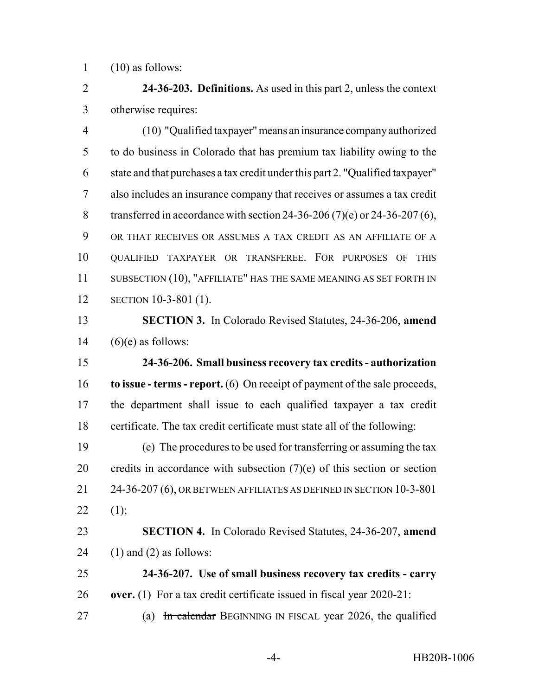(10) as follows:

 **24-36-203. Definitions.** As used in this part 2, unless the context otherwise requires:

 (10) "Qualified taxpayer" means an insurance company authorized to do business in Colorado that has premium tax liability owing to the state and that purchases a tax credit under this part 2. "Qualified taxpayer" also includes an insurance company that receives or assumes a tax credit 8 transferred in accordance with section 24-36-206 (7)(e) or 24-36-207 (6), OR THAT RECEIVES OR ASSUMES A TAX CREDIT AS AN AFFILIATE OF A QUALIFIED TAXPAYER OR TRANSFEREE. FOR PURPOSES OF THIS 11 SUBSECTION (10), "AFFILIATE" HAS THE SAME MEANING AS SET FORTH IN SECTION 10-3-801 (1).

 **SECTION 3.** In Colorado Revised Statutes, 24-36-206, **amend** 14  $(6)(e)$  as follows:

 **24-36-206. Small business recovery tax credits - authorization to issue - terms - report.** (6) On receipt of payment of the sale proceeds, the department shall issue to each qualified taxpayer a tax credit certificate. The tax credit certificate must state all of the following:

 (e) The procedures to be used for transferring or assuming the tax 20 credits in accordance with subsection  $(7)(e)$  of this section or section 21 24-36-207 (6), OR BETWEEN AFFILIATES AS DEFINED IN SECTION 10-3-801 22  $(1);$ 

 **SECTION 4.** In Colorado Revised Statutes, 24-36-207, **amend** 24  $(1)$  and  $(2)$  as follows:

 **24-36-207. Use of small business recovery tax credits - carry over.** (1) For a tax credit certificate issued in fiscal year 2020-21:

27 (a) In calendar BEGINNING IN FISCAL year 2026, the qualified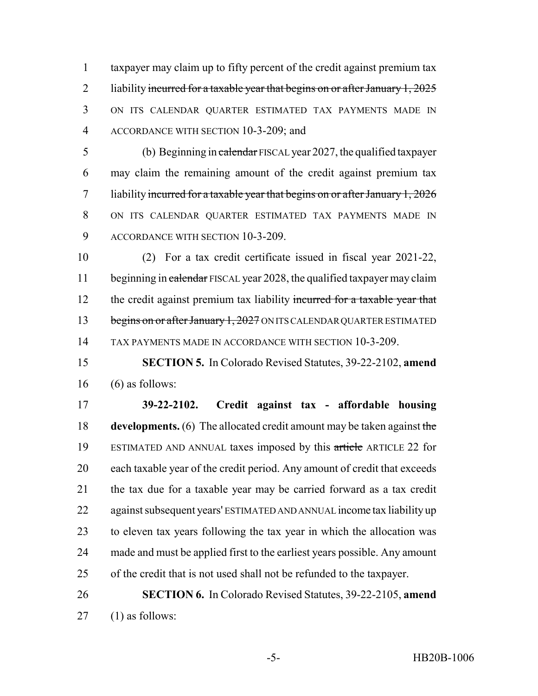taxpayer may claim up to fifty percent of the credit against premium tax 2 liability incurred for a taxable year that begins on or after January  $1,2025$  ON ITS CALENDAR QUARTER ESTIMATED TAX PAYMENTS MADE IN ACCORDANCE WITH SECTION 10-3-209; and

5 (b) Beginning in calendar FISCAL year 2027, the qualified taxpayer may claim the remaining amount of the credit against premium tax 7 liability incurred for a taxable year that begins on or after January  $1,2026$  ON ITS CALENDAR QUARTER ESTIMATED TAX PAYMENTS MADE IN ACCORDANCE WITH SECTION 10-3-209.

 (2) For a tax credit certificate issued in fiscal year 2021-22, 11 beginning in calendar FISCAL year 2028, the qualified taxpayer may claim 12 the credit against premium tax liability incurred for a taxable year that 13 begins on or after January 1, 2027 ON ITS CALENDAR QUARTER ESTIMATED TAX PAYMENTS MADE IN ACCORDANCE WITH SECTION 10-3-209.

 **SECTION 5.** In Colorado Revised Statutes, 39-22-2102, **amend** (6) as follows:

 **39-22-2102. Credit against tax - affordable housing developments.** (6) The allocated credit amount may be taken against the ESTIMATED AND ANNUAL taxes imposed by this article ARTICLE 22 for each taxable year of the credit period. Any amount of credit that exceeds the tax due for a taxable year may be carried forward as a tax credit against subsequent years' ESTIMATED AND ANNUAL income tax liability up to eleven tax years following the tax year in which the allocation was made and must be applied first to the earliest years possible. Any amount of the credit that is not used shall not be refunded to the taxpayer.

 **SECTION 6.** In Colorado Revised Statutes, 39-22-2105, **amend** (1) as follows: